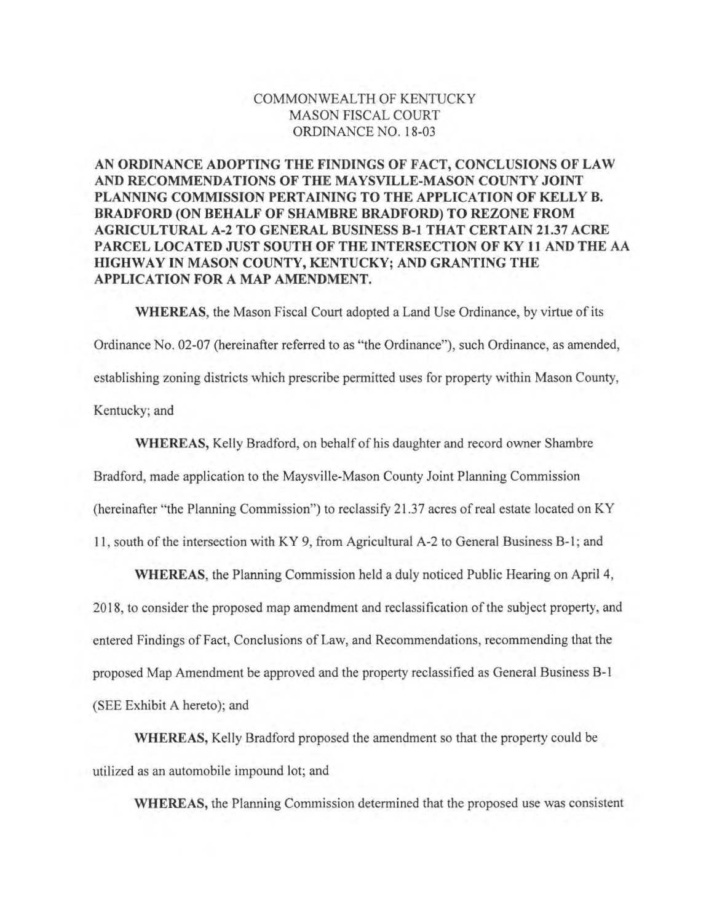# COMMONWEALTH OF KENTUCKY MASON FISCAL COURT ORDINANCE NO. 18-03

# AN ORDINANCE ADOPTING THE FINDINGS OF FACT, CONCLUSIONS OF LAW AND RECOMMENDATIONS OF THE MAYSVILLE-MASON COUNTY JOINT PLANNING COMMISSION PERTAINING TO THE APPLICATION OF KELLY B. BRADFORD (ON BEHALF OF SHAMBRE BRADFORD) TO REZONE FROM AGRICULTURAL A-2 TO GENERAL BUSINESS B-1 THAT CERTAIN 21.37 ACRE PARCEL LOCATED JUST SOUTH OF THE INTERSECTION OF KY 11 AND THE AA HIGHWAY IN MASON COUNTY, KENTUCKY; AND GRANTING THE APPLICATION FOR A MAP AMENDMENT.

WHEREAS, the Mason Fiscal Court adopted a Land Use Ordinance, by virtue of its Ordinance No. 02-07 (hereinafter referred to as "the Ordinance"), such Ordinance, as amended, establishing zoning districts which prescribe permitted uses for property within Mason County, Kentucky; and

WHEREAS, Kelly Bradford, on behalf of his daughter and record owner Shambre Bradford, made application to the Maysville-Mason County Joint Planning Commission (hereinafter "the Planning Commission") to reclassify 21.37 acres of real estate located on KY II , south of the intersection with KY 9, from Agricultural A-2 to General Business B-1; and

WHEREAS, the Planning Commission held a duly noticed Public Hearing on April 4, 2018, to consider the proposed map amendment and reclassification of the subject property, and entered Findings of Fact, Conclusions of Law, and Recommendations, recommending that the proposed Map Amendment be approved and the property reclassified as General Business B-1 (SEE Exhibit A hereto); and

WHEREAS, Kelly Bradford proposed the amendment so that the property could be utilized as an automobile impound lot; and

WHEREAS, the Planning Commission determined that the proposed use was consistent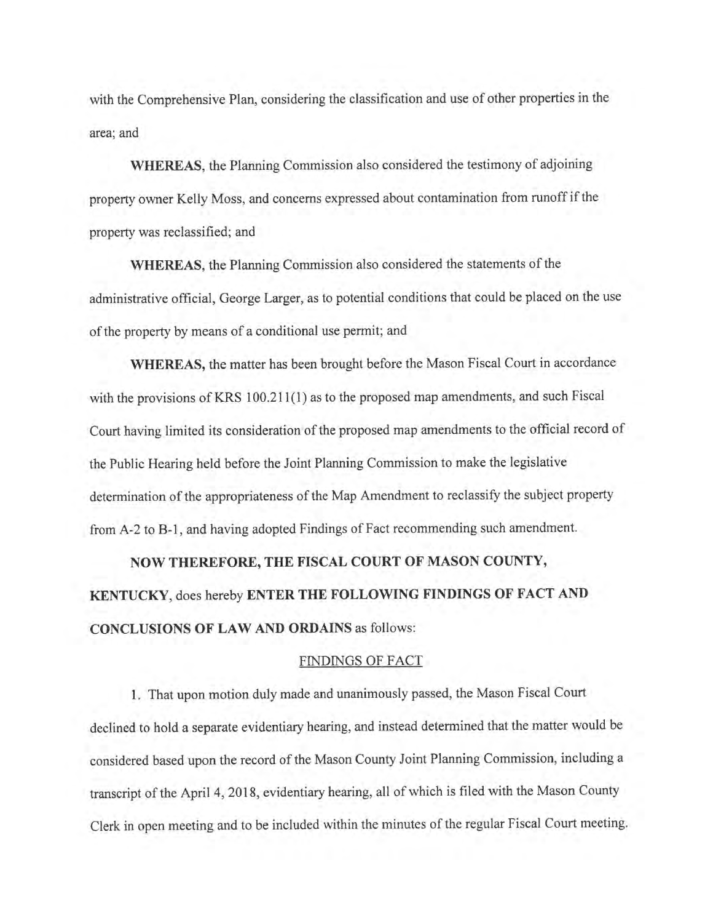with the Comprehensive Plan, considering the classification and use of other properties in the area; and

WHEREAS, the Planning Commission also considered the testimony of adjoining property owner Kelly Moss, and concerns expressed about contamination from runoff if the property was reclassified; and

WHEREAS, the Planning Commission also considered the statements of the administrative official, George Larger, as to potential conditions that could be placed on the use of the property by means of a conditional use permit; and

**WHEREAS**, the matter has been brought before the Mason Fiscal Court in accordance with the provisions of KRS 100.211(1) as to the proposed map amendments, and such Fiscal Court having limited its consideration of the proposed map amendments to the official record of the Public Hearing held before the Joint Planning Commission to make the legislative determination of the appropriateness of the Map Amendment to reclassify the subject property from A-2 to B-1, and having adopted Findings of Fact recommending such amendment.

# NOW THEREFORE, THE FISCAL COURT OF MASON COUNTY, KENTUCKY, does hereby ENTER THE FOLLOWING FINDINGS OF FACT AND **CONCLUSIONS OF LAW AND ORDAINS as follows:**

#### **FINDINGS OF FACT**

1. That upon motion duly made and unanimously passed, the Mason Fiscal Court declined to hold a separate evidentiary hearing, and instead determined that the matter would be considered based upon the record of the Mason County Joint Planning Commission, including a transcript of the April 4, 2018, evidentiary hearing, all of which is filed with the Mason County Clerk in open meeting and to be included within the minutes of the regular Fiscal Court meeting.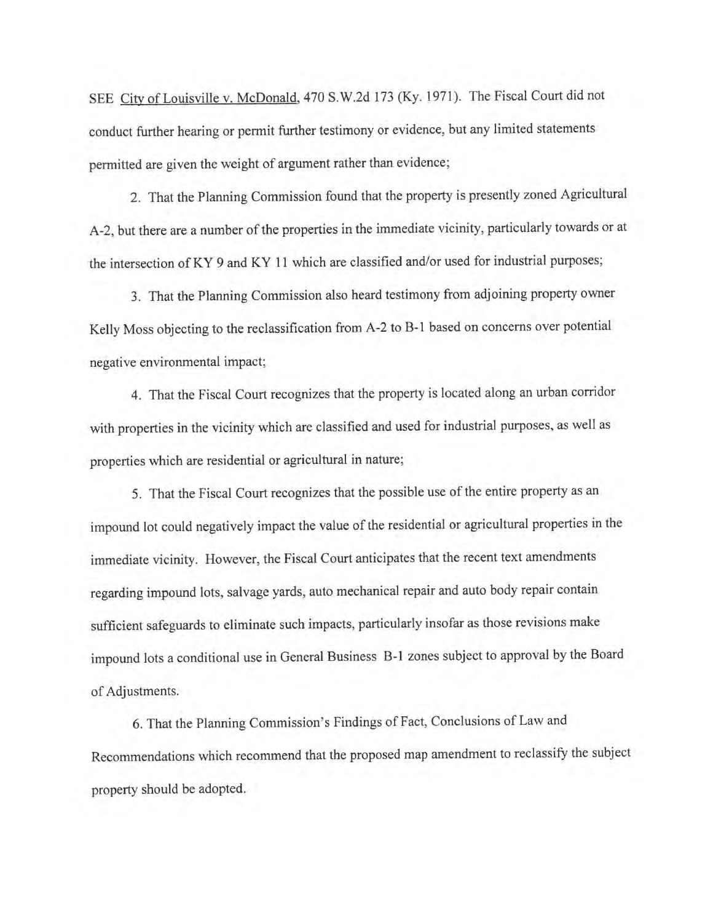SEE City of Louisville v. McDonald, 470 S.W.2d 173 (Ky. 1971). The Fiscal Court did not conduct further hearing or permit further testimony or evidence, but any limited statements permitted are given the weight of argument rather than evidence;

2. That the Planning Commission found that the property is presently zoned Agricultural A-2, but there are a number of the properties in the immediate vicinity, particularly towards or at the intersection of KY 9 and KY 11 which are classified and/or used for industrial purposes;

3. That the Planning Commission also heard testimony from adjoining property owner Kelly Moss objecting to the reclassification from A-2 to B-1 based on concerns over potential negative environmental impact;

4. That the Fiscal Court recognizes that the property is located along an urban corridor with properties in the vicinity which are classified and used for industrial purposes, as well as properties which are residential or agricultural in nature;

5. That the Fiscal Court recognizes that the possible use of the entire property as an impound lot could negatively impact the value of the residential or agricultural properties in the immediate vicinity. However, the Fiscal Court anticipates that the recent text amendments regarding impound lots, salvage yards, auto mechanical repair and auto body repair contain sufficient safeguards to eliminate such impacts, particularly insofar as those revisions make impound lots a conditional use in General Business B-1 zones subject to approval by the Board of Adjustments.

6. That the Planning Commission's Findings of Fact, Conclusions of Law and Recommendations which recommend that the proposed map amendment to reclassify the subject property should be adopted.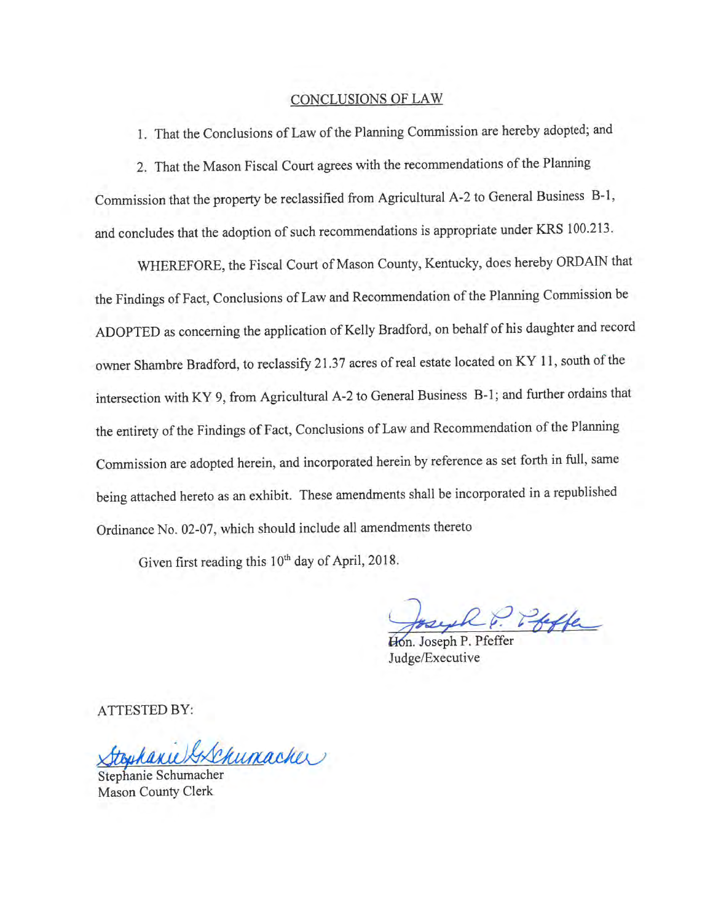#### **CONCLUSIONS OF LAW**

1. That the Conclusions of Law of the Planning Commission are hereby adopted; and

2. That the Mason Fiscal Court agrees with the recommendations of the Planning Commission that the property be reclassified from Agricultural A-2 to General Business B-1, and concludes that the adoption of such recommendations is appropriate under KRS 100.213.

WHEREFORE, the Fiscal Court of Mason County, Kentucky, does hereby ORDAIN that the Findings of Fact, Conclusions of Law and Recommendation of the Planning Commission be ADOPTED as concerning the application of Kelly Bradford, on behalf of his daughter and record owner Shambre Bradford, to reclassify 21.37 acres of real estate located on KY 11, south of the intersection with KY 9, from Agricultural A-2 to General Business B-1; and further ordains that the entirety of the Findings of Fact, Conclusions of Law and Recommendation of the Planning Commission are adopted herein, and incorporated herein by reference as set forth in full, same being attached hereto as an exhibit. These amendments shall be incorporated in a republished Ordinance No. 02-07, which should include all amendments thereto

Given first reading this 10<sup>th</sup> day of April, 2018.

offe

Hon. Joseph P. Pfeffe Judge/Executive

ATTESTED BY:

haniels chumacher

Stephanie Schumacher Mason County Clerk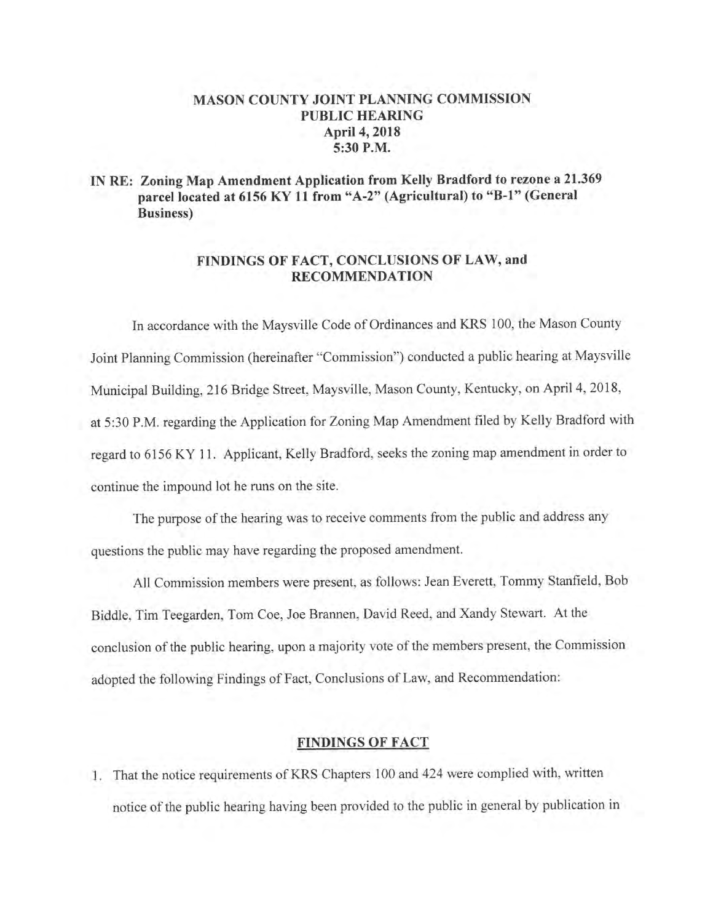# MASON COUNTY JOINT PLANNING COMMISSION **PUBLIC HEARING April 4, 2018** 5:30 P.M.

# IN RE: Zoning Map Amendment Application from Kelly Bradford to rezone a 21.369 parcel located at 6156 KY 11 from "A-2" (Agricultural) to "B-1" (General **Business**)

#### FINDINGS OF FACT, CONCLUSIONS OF LAW, and **RECOMMENDATION**

In accordance with the Maysville Code of Ordinances and KRS 100, the Mason County Joint Planning Commission (hereinafter "Commission") conducted a public hearing at Maysville Municipal Building, 216 Bridge Street, Maysville, Mason County, Kentucky, on April 4, 2018, at 5:30 P.M. regarding the Application for Zoning Map Amendment filed by Kelly Bradford with regard to 6156 KY 11. Applicant, Kelly Bradford, seeks the zoning map amendment in order to continue the impound lot he runs on the site.

The purpose of the hearing was to receive comments from the public and address any questions the public may have regarding the proposed amendment.

All Commission members were present, as follows: Jean Everett, Tommy Stanfield, Bob Biddle, Tim Teegarden, Tom Coe, Joe Brannen, David Reed, and Xandy Stewart. At the conclusion of the public hearing, upon a majority vote of the members present, the Commission adopted the following Findings of Fact, Conclusions of Law, and Recommendation:

### **FINDINGS OF FACT**

1. That the notice requirements of KRS Chapters 100 and 424 were complied with, written notice of the public hearing having been provided to the public in general by publication in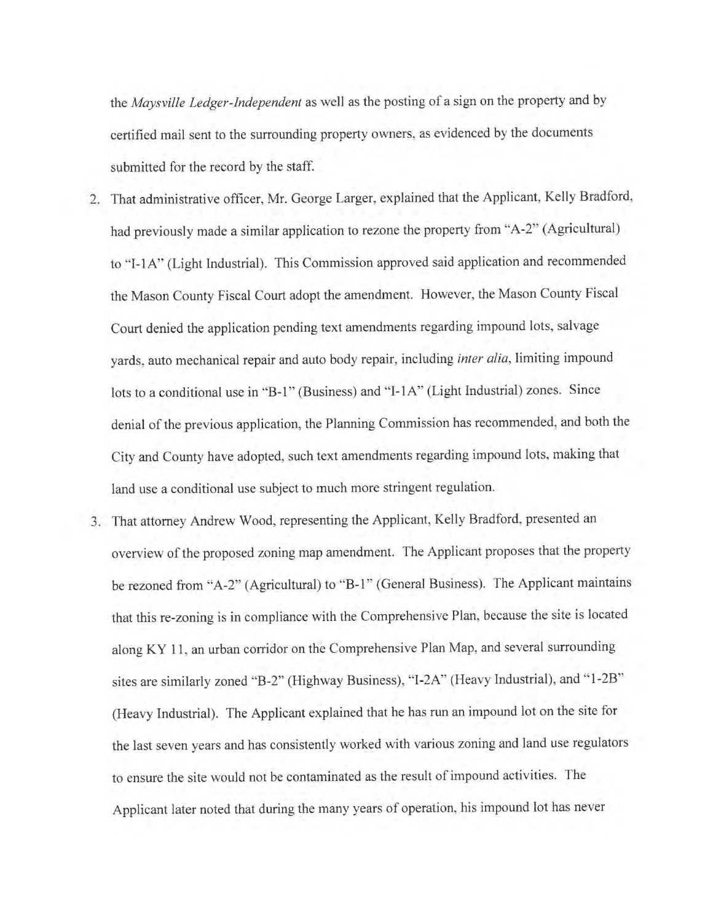the Maysville Ledger-Independent as well as the posting of a sign on the property and by certified mail sent to the surrounding property owners, as evidenced by the documents submitted for the record by the staff.

- 2. That administrative officer, Mr. George Larger, explained that the Applicant, Kelly Bradford, had previously made a similar application to rezone the property from "A-2" (Agricultural) to "I-1A" (Light Industrial). This Commission approved said application and recommended the Mason County Fiscal Court adopt the amendment. However, the Mason County Fiscal Court denied the application pending text amendments regarding impound lots, salvage yards, auto mechanical repair and auto body repair, including *inter alia*, limiting impound lots to a conditional use in "B-1" (Business) and "I-1A" (Light Industrial) zones. Since denial of the previous application, the Planning Commission has recommended, and both the City and County have adopted, such text amendments regarding impound lots, making that land use a conditional use subject to much more stringent regulation.
- 3. That attorney Andrew Wood, representing the Applicant, Kelly Bradford, presented an overview of the proposed zoning map amendment. The Applicant proposes that the property be rezoned from "A-2" (Agricultural) to "B-1" (General Business). The Applicant maintains that this re-zoning is in compliance with the Comprehensive Plan, because the site is located along KY 11, an urban corridor on the Comprehensive Plan Map, and several surrounding sites are similarly zoned "B-2" (Highway Business), "I-2A" (Heavy Industrial), and "1-2B" (Heavy Industrial). The Applicant explained that he has run an impound lot on the site for the last seven years and has consistently worked with various zoning and land use regulators to ensure the site would not be contaminated as the result of impound activities. The Applicant later noted that during the many years of operation, his impound lot has never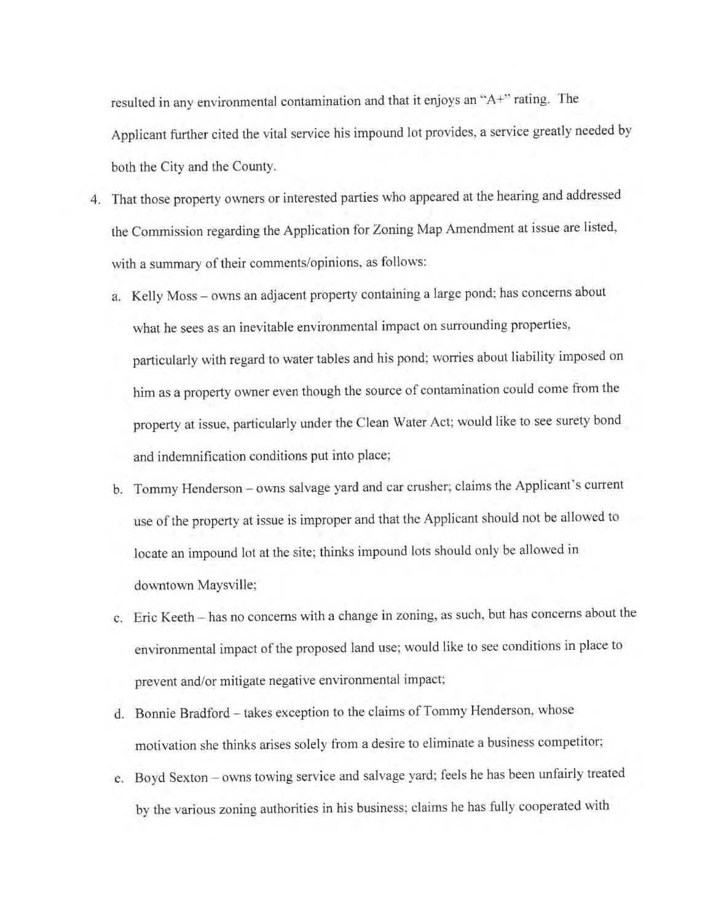resulted in any environmental contamination and that it enjoys an "A+" rating. The Applicant further cited the vital service his impound lot provides, a service greatly needed by both the City and the County.

- 4. That those property owners or interested parties who appeared at the hearing and addressed the Commission regarding the Application for Zoning Map Amendment at issue are listed, with a summary of their comments/opinions, as follows:
	- a. Kelly Moss owns an adjacent property containing a large pond; has concerns about what he sees as an inevitable environmental impact on surrounding properties, particularly with regard to water tables and his pond; worries about liability imposed on him as a property owner even though the source of contamination could come from the property at issue, particularly under the Clean Water Act; would like to see surety bond and indemnification conditions put into place;
	- b. Tommy Henderson owns salvage yard and car crusher; claims the Applicant's current use of the property at issue is improper and that the Applicant should not be allowed to locate an impound lot at the site; thinks impound lots should only be allowed in downtown Maysville;
	- c. Eric Keeth has no concerns with a change in zoning, as such, but has concerns about the environmental impact of the proposed land use; would like to see conditions in place to prevent and/or mitigate negative environmental impact;
	- d. Bonnie Bradford takes exception to the claims of Tommy Henderson, whose motivation she thinks arises solely from a desire to eliminate a business competitor;
	- e. Boyd Sexton owns towing service and salvage yard; feels he has been unfairly treated by the various zoning authorities in his business; claims he has fully cooperated with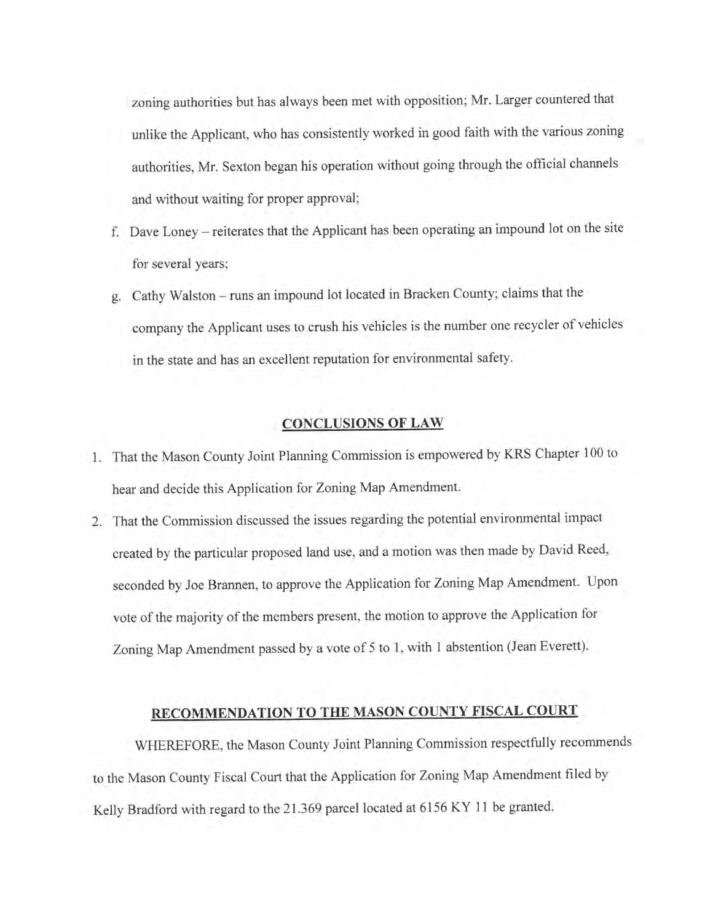zoning authorities but has always been met with opposition; Mr. Larger countered that unlike the Applicant, who has consistently worked in good faith with the various zoning authorities, Mr. Sexton began his operation without going through the official channels and without waiting for proper approval;

- f. Dave Loney reiterates that the Applicant has been operating an impound lot on the site for several years;
- g. Cathy Walston runs an impound lot located in Bracken County; claims that the company the Applicant uses to crush his vehicles is the number one recycler of vehicles in the state and has an excellent reputation for environmental safety.

#### **CONCLUSIONS OF LAW**

- 1. That the Mason County Joint Planning Commission is empowered by KRS Chapter 100 to hear and decide this Application for Zoning Map Amendment.
- 2. That the Commission discussed the issues regarding the potential environmental impact created by the particular proposed land use, and a motion was then made by David Reed, seconded by Joe Brannen, to approve the Application for Zoning Map Amendment. Upon vote of the majority of the members present, the motion to approve the Application for Zoning Map Amendment passed by a vote of 5 to 1, with 1 abstention (Jean Everett).

# RECOMMENDATION TO THE MASON COUNTY FISCAL COURT

WHEREFORE, the Mason County Joint Planning Commission respectfully recommends to the Mason County Fiscal Court that the Application for Zoning Map Amendment filed by Kelly Bradford with regard to the 21.369 parcel located at 6156 KY 11 be granted.